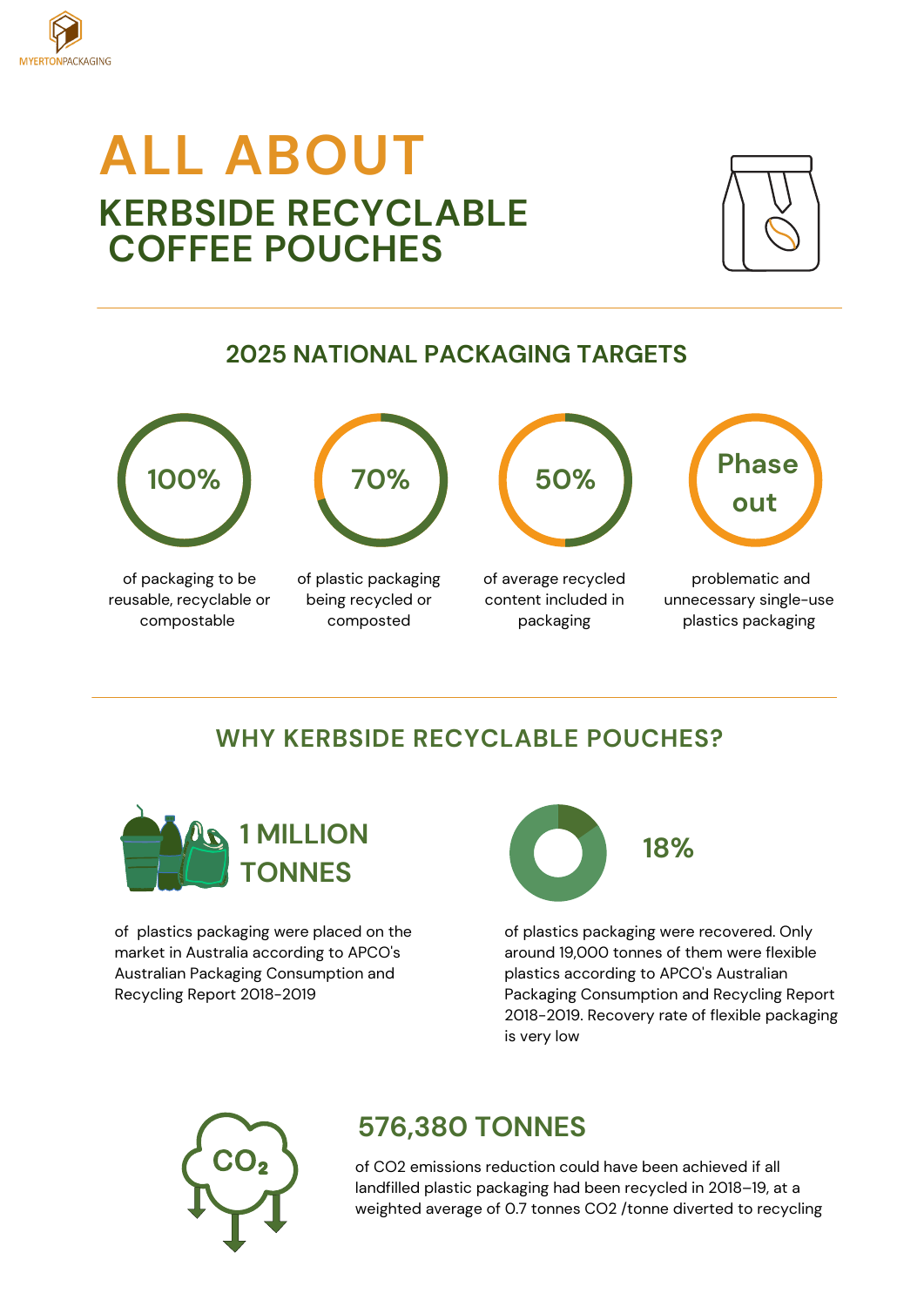

# **ALL ABOUT KERBSIDE RECYCLABLE COFFEE POUCHES**



## **2025 NATIONAL PACKAGING TARGETS**



of packaging to be reusable, recyclable or compostable



of plastic packaging being recycled or composted



of average recycled content included in packaging



problematic and unnecessary single-use plastics packaging

## **WHY KERBSIDE RECYCLABLE POUCHES?**



of plastics packaging were placed on the market in Australia according to APCO's Australian Packaging Consumption and Recycling Report 2018-2019



of plastics packaging were recovered. Only around 19,000 tonnes of them were flexible plastics according to APCO's Australian Packaging Consumption and Recycling Report 2018-2019. Recovery rate of flexible packaging is very low



# **576,380 TONNES**

of CO2 emissions reduction could have been achieved if all landfilled plastic packaging had been recycled in 2018–19, at a weighted average of 0.7 tonnes CO2 /tonne diverted to recycling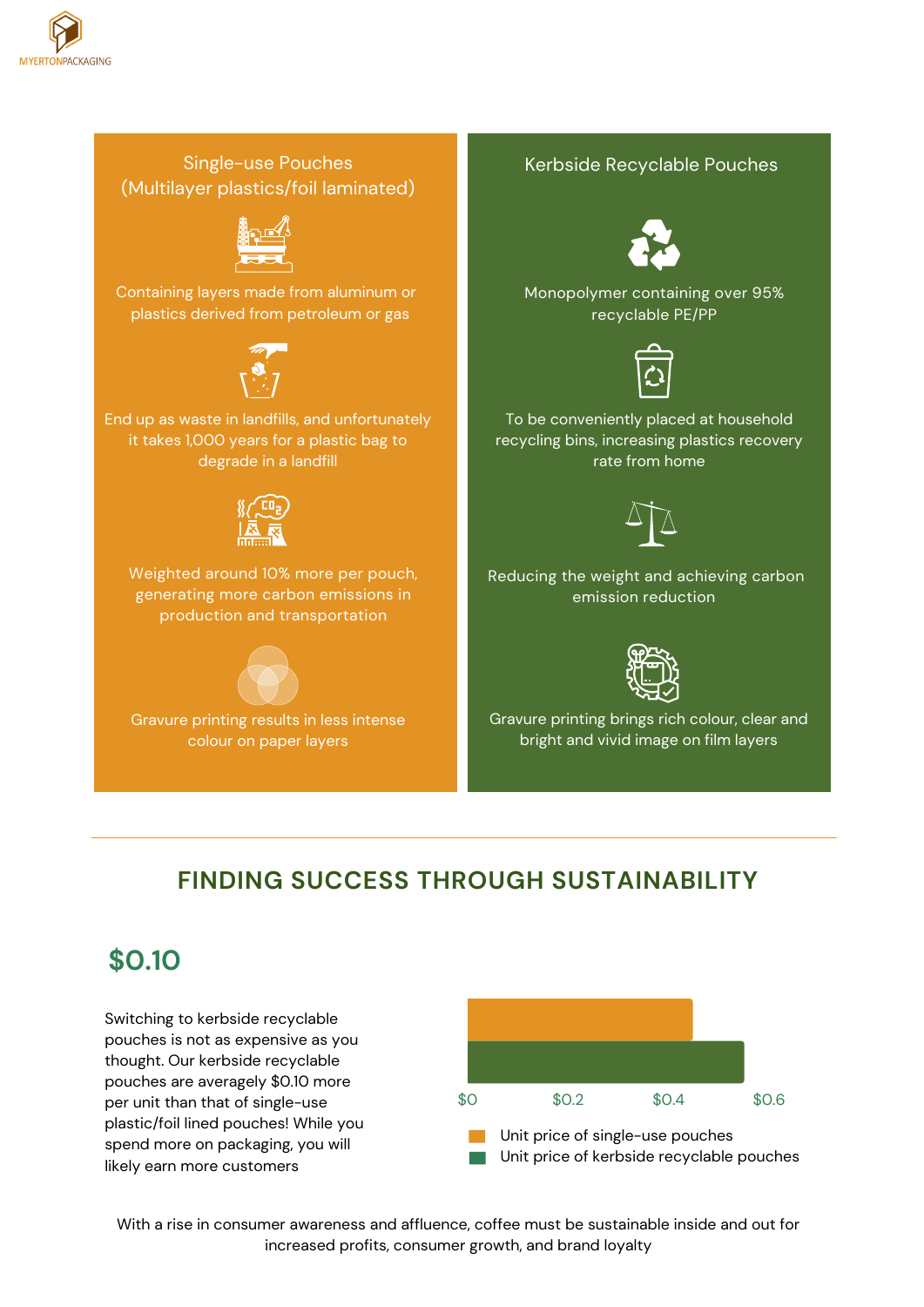

#### Single-use Pouches (Multilayer plastics/foil laminated)



Containing layers made from aluminum or plastics derived from petroleum or gas



End up as waste in landfills, and unfortunately it takes 1,000 years for a plastic bag to degrade in a landfill



Weighted around 10% more per pouch, generating more carbon emissions in production and transportation



Gravure printing results in less intense colour on paper layers

#### Kerbside Recyclable Pouches



Monopolymer containing over 95% recyclable PE/PP



To be conveniently placed at household recycling bins, increasing plastics recovery rate from home



Reducing the weight and achieving carbon emission reduction



Gravure printing brings rich colour, clear and bright and vivid image on film layers

# **FINDING SUCCESS THROUGH SUSTAINABILITY**

# **\$0.10**

Switching to kerbside recyclable pouches is not as expensive as you thought. Our kerbside recyclable pouches are averagely \$0.10 more per unit than that of single-use plastic/foil lined pouches! While you spend more on packaging, you will likely earn more customers



With a rise in consumer awareness and affluence, coffee must be sustainable inside and out for increased profits, consumer growth, and brand loyalty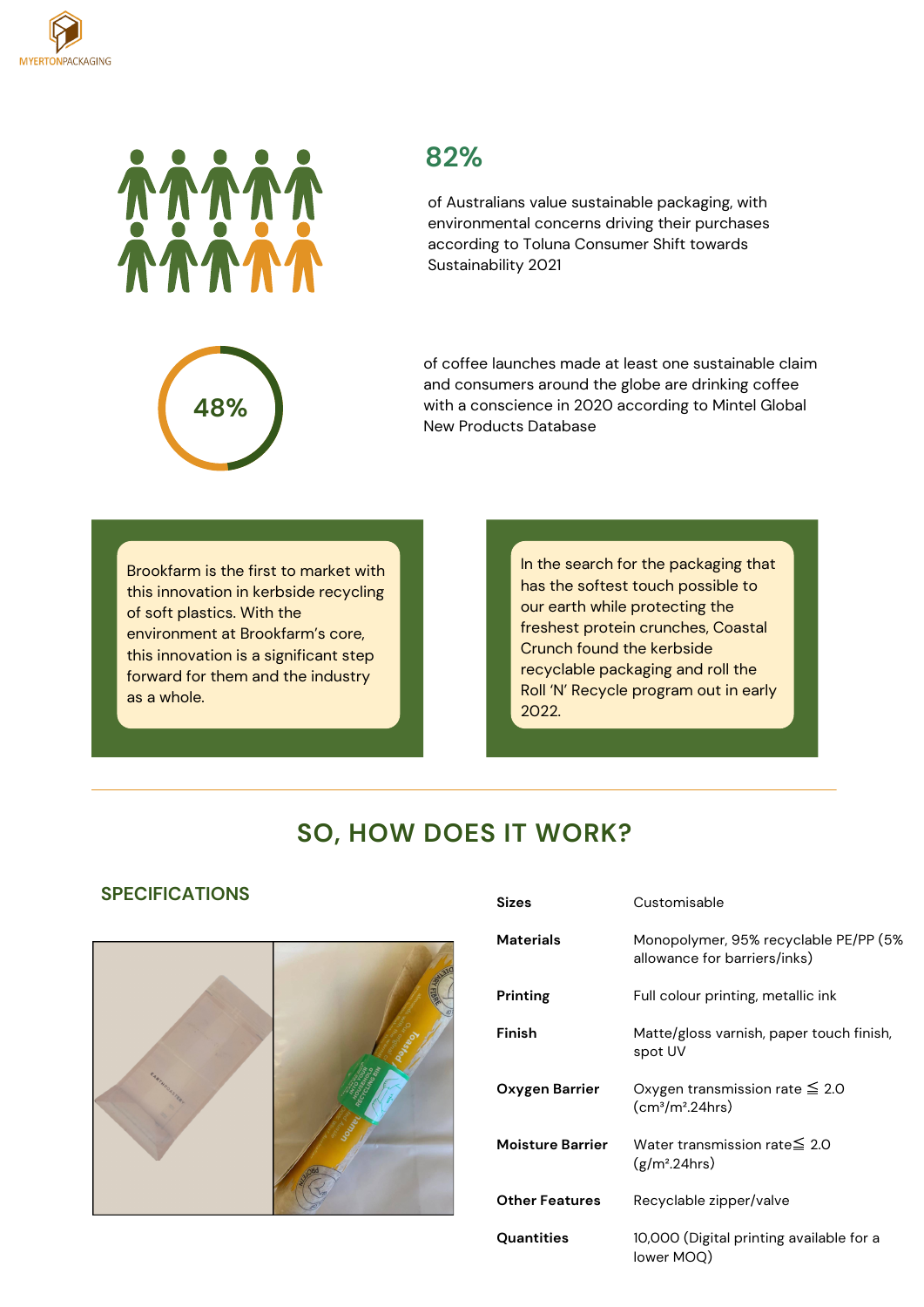



### **82%**

of Australians value sustainable packaging, with environmental concerns driving their purchases according to Toluna Consumer Shift towards Sustainability 2021



of coffee launches made at least one sustainable claim and consumers around the globe are drinking coffee with a conscience in 2020 according to Mintel Global New Products Database

Brookfarm is the first to market with this innovation in kerbside recycling of soft plastics. With the environment at Brookfarm's core, this innovation is a significant step forward for them and the industry as a whole.

In the search for the packaging that has the softest touch possible to our earth while protecting the freshest protein crunches, Coastal Crunch found the kerbside recyclable packaging and roll the Roll 'N' Recycle program out in early 2022.

### **SO, HOW DOES IT WORK?**

#### **SPECIFICATIONS Sizes**



| əizes                   | <b>Customisable</b>                                                   |
|-------------------------|-----------------------------------------------------------------------|
| Materials               | Monopolymer, 95% recyclable PE/PP (5%<br>allowance for barriers/inks) |
| Printing                | Full colour printing, metallic ink                                    |
| Finish                  | Matte/gloss varnish, paper touch finish,<br>spot UV                   |
| Oxygen Barrier          | Oxygen transmission rate $\leq 2.0$<br>$\rm (cm^3/m^2.24 hrs)$        |
| <b>Moisture Barrier</b> | Water transmission rate $\leq 2.0$<br>$(g/m^2.24)$ hrs)               |
| <b>Other Features</b>   | Recyclable zipper/valve                                               |
| Quantities              | 10,000 (Digital printing available for a<br>lower MOQ)                |

Customisable